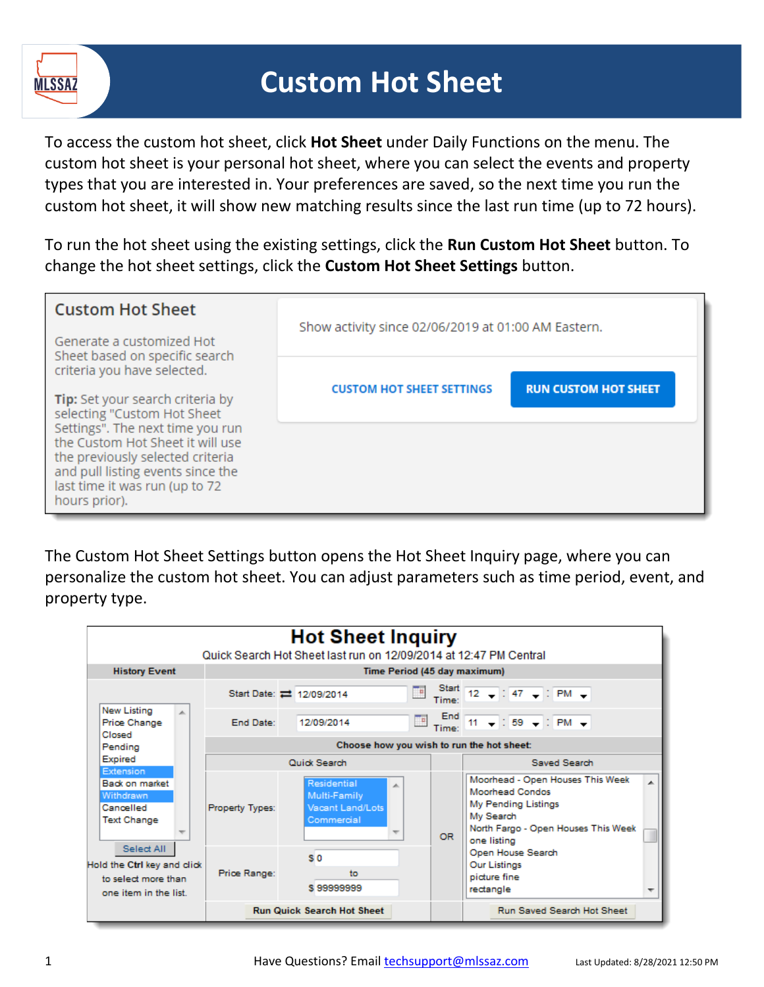

## **Custom Hot Sheet**

To access the custom hot sheet, click **Hot Sheet** under Daily Functions on the menu. The custom hot sheet is your personal hot sheet, where you can select the events and property types that you are interested in. Your preferences are saved, so the next time you run the custom hot sheet, it will show new matching results since the last run time (up to 72 hours).

To run the hot sheet using the existing settings, click the **Run Custom Hot Sheet** button. To change the hot sheet settings, click the **Custom Hot Sheet Settings** button.

| <b>Custom Hot Sheet</b>                                                                                  |                                                     |                             |  |
|----------------------------------------------------------------------------------------------------------|-----------------------------------------------------|-----------------------------|--|
| Generate a customized Hot<br>Sheet based on specific search                                              | Show activity since 02/06/2019 at 01:00 AM Eastern. |                             |  |
| criteria you have selected.                                                                              | <b>CUSTOM HOT SHEET SETTINGS</b>                    | <b>RUN CUSTOM HOT SHEET</b> |  |
| Tip: Set your search criteria by<br>selecting "Custom Hot Sheet                                          |                                                     |                             |  |
| Settings". The next time you run<br>the Custom Hot Sheet it will use<br>the previously selected criteria |                                                     |                             |  |
| and pull listing events since the<br>last time it was run (up to 72                                      |                                                     |                             |  |
| hours prior).                                                                                            |                                                     |                             |  |

The Custom Hot Sheet Settings button opens the Hot Sheet Inquiry page, where you can personalize the custom hot sheet. You can adjust parameters such as time period, event, and property type.

| <b>Hot Sheet Inquiry</b><br>Quick Search Hot Sheet last run on 12/09/2014 at 12:47 PM Central |                              |                                                                     |              |                                                                                                                                                                                    |  |
|-----------------------------------------------------------------------------------------------|------------------------------|---------------------------------------------------------------------|--------------|------------------------------------------------------------------------------------------------------------------------------------------------------------------------------------|--|
| <b>History Event</b>                                                                          | Time Period (45 day maximum) |                                                                     |              |                                                                                                                                                                                    |  |
|                                                                                               |                              | Start Date: 2 12/09/2014                                            |              | $\begin{array}{ c c c c c }\n\hline\n\text{I} & \text{Start} & \text{12} & \text{+} \\ \hline\n\text{Time:} & \text{12} & \text{+} & \text{147} & \text{+} \\ \hline\n\end{array}$ |  |
| New Listing<br>A.<br>Price Change<br>Closed                                                   | Fnd Date:                    | 12/09/2014                                                          |              | $\frac{\text{End}}{\text{Time}}$ 11 $\div$ : 59 $\div$ : PM $\div$                                                                                                                 |  |
| Pending                                                                                       |                              | Choose how you wish to run the hot sheet:                           |              |                                                                                                                                                                                    |  |
| Expired                                                                                       | Quick Search                 |                                                                     | Saved Search |                                                                                                                                                                                    |  |
| Extension<br>Back on market<br>Withdrawn<br>Cancelled<br><b>Text Change</b>                   | Property Types:              | Residential<br>A.<br>Multi-Family<br>Vacant Land/Lots<br>Commercial | OR.          | Moorhead - Open Houses This Week<br>À<br><b>Moorhead Condos</b><br>My Pending Listings<br>My Search<br>North Fargo - Open Houses This Week<br>one listing                          |  |
| Select All<br>Hold the Ctrl key and click<br>to select more than<br>one item in the list.     | Price Range:                 | S <sub>0</sub><br>to<br>\$99999999                                  |              | Open House Search<br>Our Listings<br>picture fine<br>rectangle                                                                                                                     |  |
|                                                                                               |                              | <b>Run Quick Search Hot Sheet</b>                                   |              | Run Saved Search Hot Sheet                                                                                                                                                         |  |